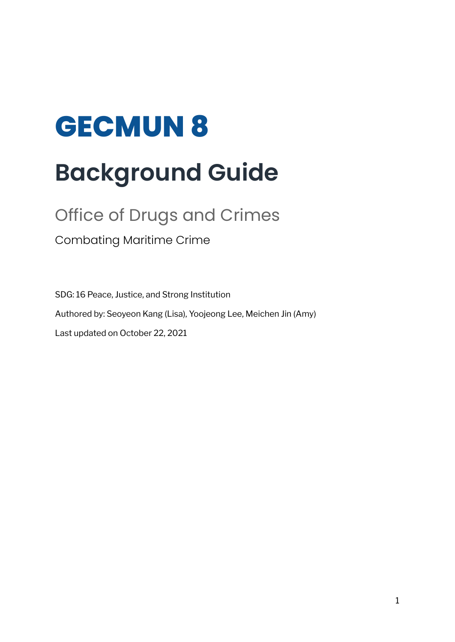# **GECMUN 8 Background Guide**

# Office of Drugs and Crimes

Combating Maritime Crime

SDG: 16 Peace, Justice, and Strong Institution Authored by: Seoyeon Kang (Lisa), Yoojeong Lee, Meichen Jin (Amy) Last updated on October 22, 2021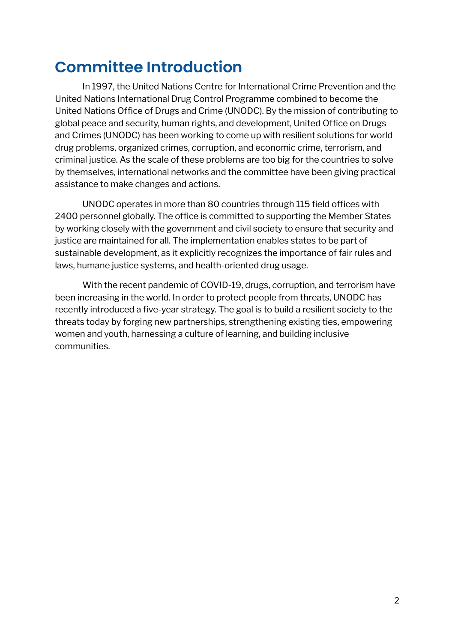### **Committee Introduction**

In 1997, the United Nations Centre for International Crime Prevention and the United Nations International Drug Control Programme combined to become the United Nations Office of Drugs and Crime (UNODC). By the mission of contributing to global peace and security, human rights, and development, United Office on Drugs and Crimes (UNODC) has been working to come up with resilient solutions for world drug problems, organized crimes, corruption, and economic crime, terrorism, and criminal justice. As the scale of these problems are too big for the countries to solve by themselves, international networks and the committee have been giving practical assistance to make changes and actions.

UNODC operates in more than 80 countries through 115 field offices with 2400 personnel globally. The office is committed to supporting the Member States by working closely with the government and civil society to ensure that security and justice are maintained for all. The implementation enables states to be part of sustainable development, as it explicitly recognizes the importance of fair rules and laws, humane justice systems, and health-oriented drug usage.

With the recent pandemic of COVID-19, drugs, corruption, and terrorism have been increasing in the world. In order to protect people from threats, UNODC has recently introduced a five-year strategy. The goal is to build a resilient society to the threats today by forging new partnerships, strengthening existing ties, empowering women and youth, harnessing a culture of learning, and building inclusive communities.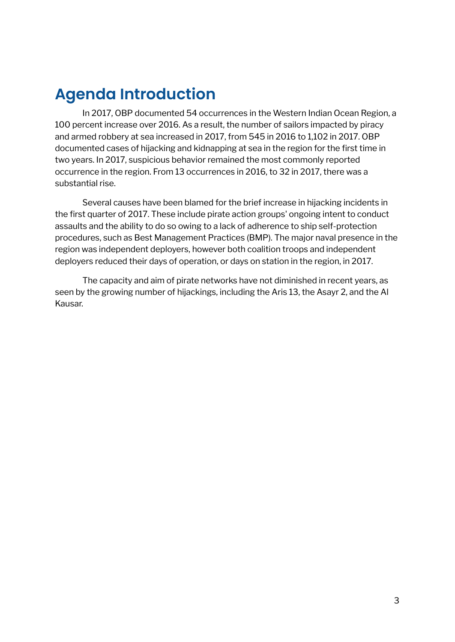### **Agenda Introduction**

In 2017, OBP documented 54 occurrences in the Western Indian Ocean Region, a 100 percent increase over 2016. As a result, the number of sailors impacted by piracy and armed robbery at sea increased in 2017, from 545 in 2016 to 1,102 in 2017. OBP documented cases of hijacking and kidnapping at sea in the region for the first time in two years. In 2017, suspicious behavior remained the most commonly reported occurrence in the region. From 13 occurrences in 2016, to 32 in 2017, there was a substantial rise.

Several causes have been blamed for the brief increase in hijacking incidents in the first quarter of 2017. These include pirate action groups' ongoing intent to conduct assaults and the ability to do so owing to a lack of adherence to ship self-protection procedures, such as Best Management Practices (BMP). The major naval presence in the region was independent deployers, however both coalition troops and independent deployers reduced their days of operation, or days on station in the region, in 2017.

The capacity and aim of pirate networks have not diminished in recent years, as seen by the growing number of hijackings, including the Aris 13, the Asayr 2, and the Al Kausar.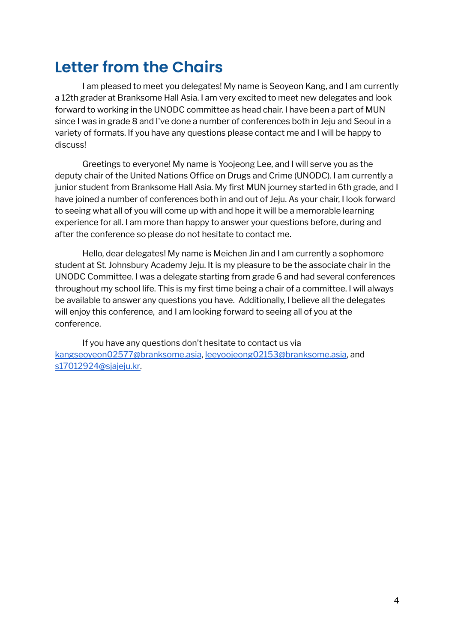### **Letter from the Chairs**

I am pleased to meet you delegates! My name is Seoyeon Kang, and I am currently a 12th grader at Branksome Hall Asia. I am very excited to meet new delegates and look forward to working in the UNODC committee as head chair. I have been a part of MUN since I was in grade 8 and I've done a number of conferences both in Jeju and Seoul in a variety of formats. If you have any questions please contact me and I will be happy to discuss!

Greetings to everyone! My name is Yoojeong Lee, and I will serve you as the deputy chair of the United Nations Office on Drugs and Crime (UNODC). I am currently a junior student from Branksome Hall Asia. My first MUN journey started in 6th grade, and I have joined a number of conferences both in and out of Jeju. As your chair, I look forward to seeing what all of you will come up with and hope it will be a memorable learning experience for all. I am more than happy to answer your questions before, during and after the conference so please do not hesitate to contact me.

Hello, dear delegates! My name is Meichen Jin and I am currently a sophomore student at St. Johnsbury Academy Jeju. It is my pleasure to be the associate chair in the UNODC Committee. I was a delegate starting from grade 6 and had several conferences throughout my school life. This is my first time being a chair of a committee. I will always be available to answer any questions you have. Additionally, I believe all the delegates will enjoy this conference, and I am looking forward to seeing all of you at the conference.

If you have any questions don't hesitate to contact us via [kangseoyeon02577@branksome.asia](mailto:kangseoyeon02577@branksome.asia), [leeyoojeong02153@branksome.asia](mailto:leeyoojeong02153@branksome.asia), and [s17012924@sjajeju.kr.](mailto:s17012924@sjajeju.kr)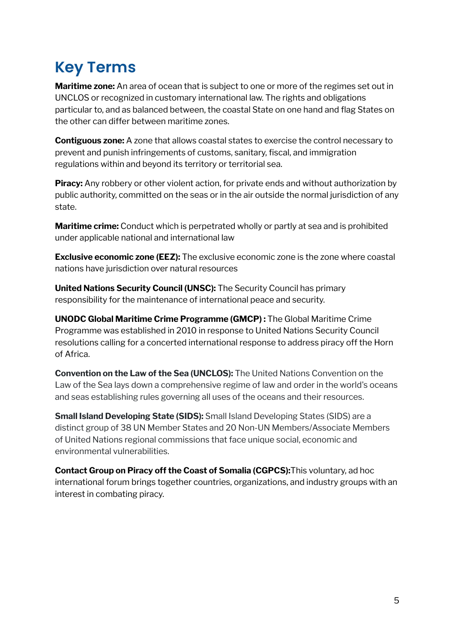# **Key Terms**

**Maritime zone:** An area of ocean that is subject to one or more of the regimes set out in UNCLOS or recognized in customary international law. The rights and obligations particular to, and as balanced between, the coastal State on one hand and flag States on the other can differ between maritime zones.

**Contiguous zone:** A zone that allows coastal states to exercise the control necessary to prevent and punish infringements of customs, sanitary, fiscal, and immigration regulations within and beyond its territory or territorial sea.

**Piracy:** Any robbery or other violent action, for private ends and without authorization by public authority, committed on the seas or in the air outside the normal jurisdiction of any state.

**Maritime crime:** Conduct which is perpetrated wholly or partly at sea and is prohibited under applicable national and international law

**Exclusive economic zone (EEZ):** The exclusive economic zone is the zone where coastal nations have jurisdiction over natural resources

**United Nations Security Council (UNSC):** The Security Council has primary responsibility for the maintenance of international peace and security.

**UNODC Global Maritime Crime Programme (GMCP) :** The Global Maritime Crime Programme was established in 2010 in response to United Nations Security Council resolutions calling for a concerted international response to address piracy off the Horn of Africa.

**Convention on the Law of the Sea (UNCLOS):** The United Nations Convention on the Law of the Sea lays down a comprehensive regime of law and order in the world's oceans and seas establishing rules governing all uses of the oceans and their resources.

**Small Island Developing State (SIDS):** Small Island Developing States (SIDS) are a distinct group of 38 UN Member States and 20 Non-UN Members/Associate Members of United Nations regional commissions that face unique social, economic and environmental vulnerabilities.

**Contact Group on Piracy off the Coast of Somalia (CGPCS):**This voluntary, ad hoc international forum brings together countries, organizations, and industry groups with an interest in combating piracy.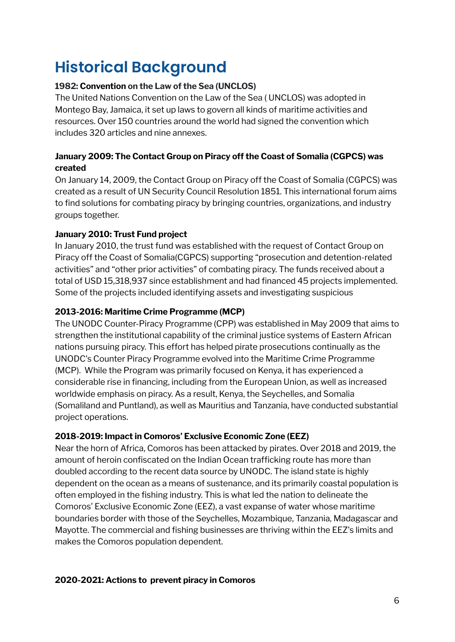# **Historical Background**

#### **1982: Convention on the Law of the Sea (UNCLOS)**

The United Nations Convention on the Law of the Sea ( UNCLOS) was adopted in Montego Bay, Jamaica, it set up laws to govern all kinds of maritime activities and resources. Over 150 countries around the world had signed the convention which includes 320 articles and nine annexes.

#### **January 2009: The Contact Group on Piracy off the Coast of Somalia (CGPCS) was created**

On January 14, 2009, the Contact Group on Piracy off the Coast of Somalia (CGPCS) was created as a result of UN Security Council Resolution 1851. This international forum aims to find solutions for combating piracy by bringing countries, organizations, and industry groups together.

#### **January 2010: Trust Fund project**

In January 2010, the trust fund was established with the request of Contact Group on Piracy off the Coast of Somalia(CGPCS) supporting "prosecution and detention-related activities" and "other prior activities" of combating piracy. The funds received about a total of USD 15,318,937 since establishment and had financed 45 projects implemented. Some of the projects included identifying assets and investigating suspicious

#### **2013-2016: Maritime Crime Programme (MCP)**

The UNODC Counter-Piracy Programme (CPP) was established in May 2009 that aims to strengthen the institutional capability of the criminal justice systems of Eastern African nations pursuing piracy. This effort has helped pirate prosecutions continually as the UNODC's Counter Piracy Programme evolved into the Maritime Crime Programme (MCP). While the Program was primarily focused on Kenya, it has experienced a considerable rise in financing, including from the European Union, as well as increased worldwide emphasis on piracy. As a result, Kenya, the Seychelles, and Somalia (Somaliland and Puntland), as well as Mauritius and Tanzania, have conducted substantial project operations.

#### **2018-2019: Impact in Comoros' Exclusive Economic Zone (EEZ)**

Near the horn of Africa, Comoros has been attacked by pirates. Over 2018 and 2019, the amount of heroin confiscated on the Indian Ocean trafficking route has more than doubled according to the recent data source by UNODC. The island state is highly dependent on the ocean as a means of sustenance, and its primarily coastal population is often employed in the fishing industry. This is what led the nation to delineate the Comoros' Exclusive Economic Zone (EEZ), a vast expanse of water whose maritime boundaries border with those of the Seychelles, Mozambique, Tanzania, Madagascar and Mayotte. The commercial and fishing businesses are thriving within the EEZ's limits and makes the Comoros population dependent.

#### **2020-2021: Actions to prevent piracy in Comoros**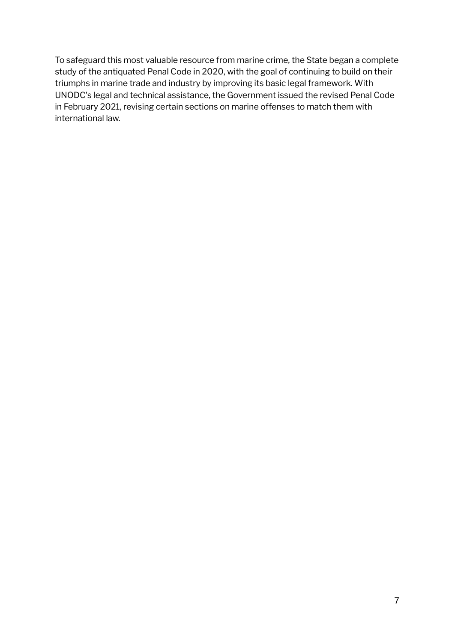To safeguard this most valuable resource from marine crime, the State began a complete study of the antiquated Penal Code in 2020, with the goal of continuing to build on their triumphs in marine trade and industry by improving its basic legal framework. With UNODC's legal and technical assistance, the Government issued the revised Penal Code in February 2021, revising certain sections on marine offenses to match them with international law.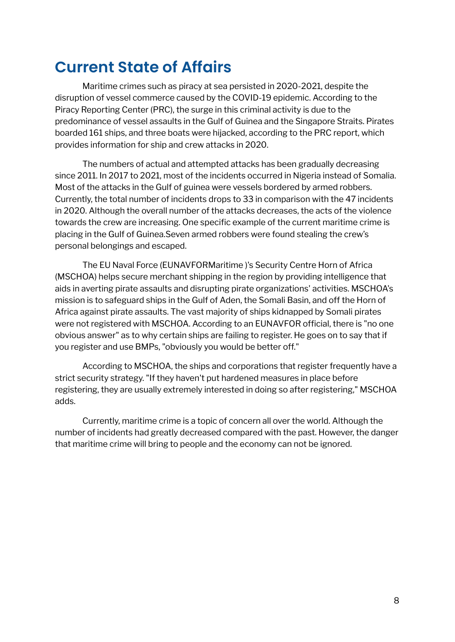### **Current State of Affairs**

Maritime crimes such as piracy at sea persisted in 2020-2021, despite the disruption of vessel commerce caused by the COVID-19 epidemic. According to the Piracy Reporting Center (PRC), the surge in this criminal activity is due to the predominance of vessel assaults in the Gulf of Guinea and the Singapore Straits. Pirates boarded 161 ships, and three boats were hijacked, according to the PRC report, which provides information for ship and crew attacks in 2020.

The numbers of actual and attempted attacks has been gradually decreasing since 2011. In 2017 to 2021, most of the incidents occurred in Nigeria instead of Somalia. Most of the attacks in the Gulf of guinea were vessels bordered by armed robbers. Currently, the total number of incidents drops to 33 in comparison with the 47 incidents in 2020. Although the overall number of the attacks decreases, the acts of the violence towards the crew are increasing. One specific example of the current maritime crime is placing in the Gulf of Guinea.Seven armed robbers were found stealing the crew's personal belongings and escaped.

The EU Naval Force (EUNAVFORMaritime )'s Security Centre Horn of Africa (MSCHOA) helps secure merchant shipping in the region by providing intelligence that aids in averting pirate assaults and disrupting pirate organizations' activities. MSCHOA's mission is to safeguard ships in the Gulf of Aden, the Somali Basin, and off the Horn of Africa against pirate assaults. The vast majority of ships kidnapped by Somali pirates were not registered with MSCHOA. According to an EUNAVFOR official, there is "no one obvious answer" as to why certain ships are failing to register. He goes on to say that if you register and use BMPs, "obviously you would be better off."

According to MSCHOA, the ships and corporations that register frequently have a strict security strategy. "If they haven't put hardened measures in place before registering, they are usually extremely interested in doing so after registering," MSCHOA adds.

Currently, maritime crime is a topic of concern all over the world. Although the number of incidents had greatly decreased compared with the past. However, the danger that maritime crime will bring to people and the economy can not be ignored.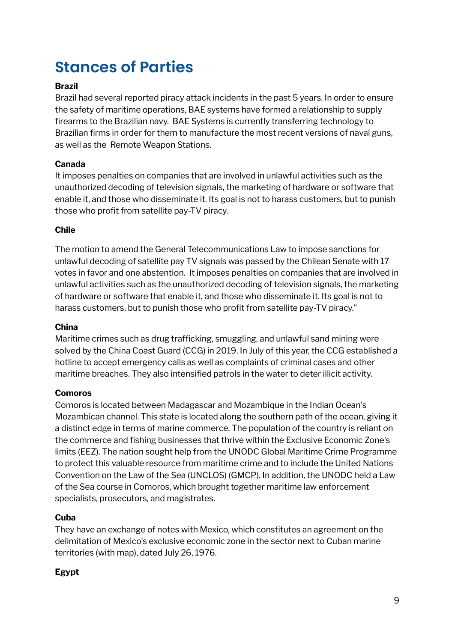### **Stances of Parties**

#### **Brazil**

Brazil had several reported piracy attack incidents in the past 5 years. In order to ensure the safety of maritime operations, BAE systems have formed a relationship to supply firearms to the Brazilian navy. BAE Systems is currently transferring technology to Brazilian firms in order for them to manufacture the most recent versions of naval guns, as well as the Remote Weapon Stations.

#### **Canada**

It imposes penalties on companies that are involved in unlawful activities such as the unauthorized decoding of television signals, the marketing of hardware or software that enable it, and those who disseminate it. Its goal is not to harass customers, but to punish those who profit from satellite pay-TV piracy.

#### **Chile**

The motion to amend the General Telecommunications Law to impose sanctions for unlawful decoding of satellite pay TV signals was passed by the Chilean Senate with 17 votes in favor and one abstention. It imposes penalties on companies that are involved in unlawful activities such as the unauthorized decoding of television signals, the marketing of hardware or software that enable it, and those who disseminate it. Its goal is not to harass customers, but to punish those who profit from satellite pay-TV piracy."

#### **China**

Maritime crimes such as drug trafficking, smuggling, and unlawful sand mining were solved by the China Coast Guard (CCG) in 2019. In July of this year, the CCG established a hotline to accept emergency calls as well as complaints of criminal cases and other maritime breaches. They also intensified patrols in the water to deter illicit activity.

#### **Comoros**

Comoros is located between Madagascar and Mozambique in the Indian Ocean's Mozambican channel. This state is located along the southern path of the ocean, giving it a distinct edge in terms of marine commerce. The population of the country is reliant on the commerce and fishing businesses that thrive within the Exclusive Economic Zone's limits (EEZ). The nation sought help from the UNODC Global Maritime Crime Programme to protect this valuable resource from maritime crime and to include the United Nations Convention on the Law of the Sea (UNCLOS) (GMCP). In addition, the UNODC held a Law of the Sea course in Comoros, which brought together maritime law enforcement specialists, prosecutors, and magistrates.

#### **Cuba**

They have an exchange of notes with Mexico, which constitutes an agreement on the delimitation of Mexico's exclusive economic zone in the sector next to Cuban marine territories (with map), dated July 26, 1976.

#### **Egypt**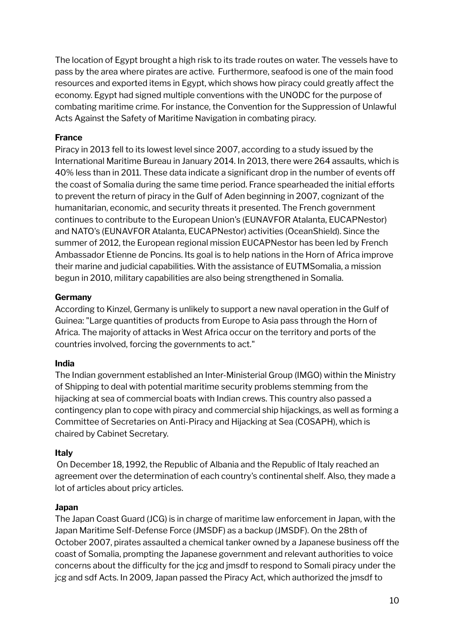The location of Egypt brought a high risk to its trade routes on water. The vessels have to pass by the area where pirates are active. Furthermore, seafood is one of the main food resources and exported items in Egypt, which shows how piracy could greatly affect the economy. Egypt had signed multiple conventions with the UNODC for the purpose of combating maritime crime. For instance, the Convention for the Suppression of Unlawful Acts Against the Safety of Maritime Navigation in combating piracy.

#### **France**

Piracy in 2013 fell to its lowest level since 2007, according to a study issued by the International Maritime Bureau in January 2014. In 2013, there were 264 assaults, which is 40% less than in 2011. These data indicate a significant drop in the number of events off the coast of Somalia during the same time period. France spearheaded the initial efforts to prevent the return of piracy in the Gulf of Aden beginning in 2007, cognizant of the humanitarian, economic, and security threats it presented. The French government continues to contribute to the European Union's (EUNAVFOR Atalanta, EUCAPNestor) and NATO's (EUNAVFOR Atalanta, EUCAPNestor) activities (OceanShield). Since the summer of 2012, the European regional mission EUCAPNestor has been led by French Ambassador Etienne de Poncins. Its goal is to help nations in the Horn of Africa improve their marine and judicial capabilities. With the assistance of EUTMSomalia, a mission begun in 2010, military capabilities are also being strengthened in Somalia.

#### **Germany**

According to Kinzel, Germany is unlikely to support a new naval operation in the Gulf of Guinea: "Large quantities of products from Europe to Asia pass through the Horn of Africa. The majority of attacks in West Africa occur on the territory and ports of the countries involved, forcing the governments to act."

#### **India**

The Indian government established an Inter-Ministerial Group (IMGO) within the Ministry of Shipping to deal with potential maritime security problems stemming from the hijacking at sea of commercial boats with Indian crews. This country also passed a contingency plan to cope with piracy and commercial ship hijackings, as well as forming a Committee of Secretaries on Anti-Piracy and Hijacking at Sea (COSAPH), which is chaired by Cabinet Secretary.

#### **Italy**

On December 18, 1992, the Republic of Albania and the Republic of Italy reached an agreement over the determination of each country's continental shelf. Also, they made a lot of articles about pricy articles.

#### **Japan**

The Japan Coast Guard (JCG) is in charge of maritime law enforcement in Japan, with the Japan Maritime Self-Defense Force (JMSDF) as a backup (JMSDF). On the 28th of October 2007, pirates assaulted a chemical tanker owned by a Japanese business off the coast of Somalia, prompting the Japanese government and relevant authorities to voice concerns about the difficulty for the jcg and jmsdf to respond to Somali piracy under the jcg and sdf Acts. In 2009, Japan passed the Piracy Act, which authorized the jmsdf to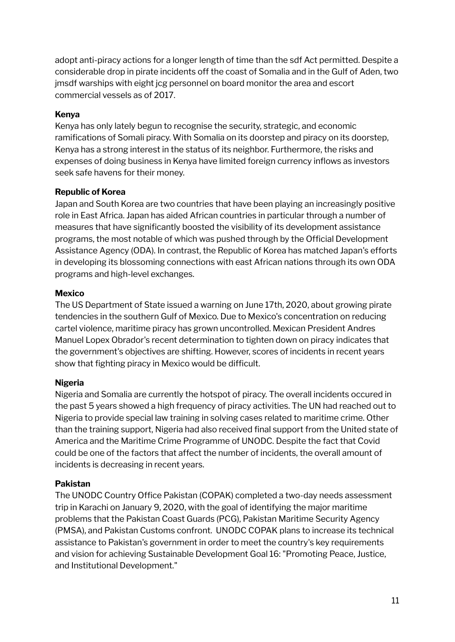adopt anti-piracy actions for a longer length of time than the sdf Act permitted. Despite a considerable drop in pirate incidents off the coast of Somalia and in the Gulf of Aden, two jmsdf warships with eight jcg personnel on board monitor the area and escort commercial vessels as of 2017.

#### **Kenya**

Kenya has only lately begun to recognise the security, strategic, and economic ramifications of Somali piracy. With Somalia on its doorstep and piracy on its doorstep, Kenya has a strong interest in the status of its neighbor. Furthermore, the risks and expenses of doing business in Kenya have limited foreign currency inflows as investors seek safe havens for their money.

#### **Republic of Korea**

Japan and South Korea are two countries that have been playing an increasingly positive role in East Africa. Japan has aided African countries in particular through a number of measures that have significantly boosted the visibility of its development assistance programs, the most notable of which was pushed through by the Official Development Assistance Agency (ODA). In contrast, the Republic of Korea has matched Japan's efforts in developing its blossoming connections with east African nations through its own ODA programs and high-level exchanges.

#### **Mexico**

The US Department of State issued a warning on June 17th, 2020, about growing pirate tendencies in the southern Gulf of Mexico. Due to Mexico's concentration on reducing cartel violence, maritime piracy has grown uncontrolled. Mexican President Andres Manuel Lopex Obrador's recent determination to tighten down on piracy indicates that the government's objectives are shifting. However, scores of incidents in recent years show that fighting piracy in Mexico would be difficult.

#### **Nigeria**

Nigeria and Somalia are currently the hotspot of piracy. The overall incidents occured in the past 5 years showed a high frequency of piracy activities. The UN had reached out to Nigeria to provide special law training in solving cases related to maritime crime. Other than the training support, Nigeria had also received final support from the United state of America and the Maritime Crime Programme of UNODC. Despite the fact that Covid could be one of the factors that affect the number of incidents, the overall amount of incidents is decreasing in recent years.

#### **Pakistan**

The UNODC Country Office Pakistan (COPAK) completed a two-day needs assessment trip in Karachi on January 9, 2020, with the goal of identifying the major maritime problems that the Pakistan Coast Guards (PCG), Pakistan Maritime Security Agency (PMSA), and Pakistan Customs confront. UNODC COPAK plans to increase its technical assistance to Pakistan's government in order to meet the country's key requirements and vision for achieving Sustainable Development Goal 16: "Promoting Peace, Justice, and Institutional Development."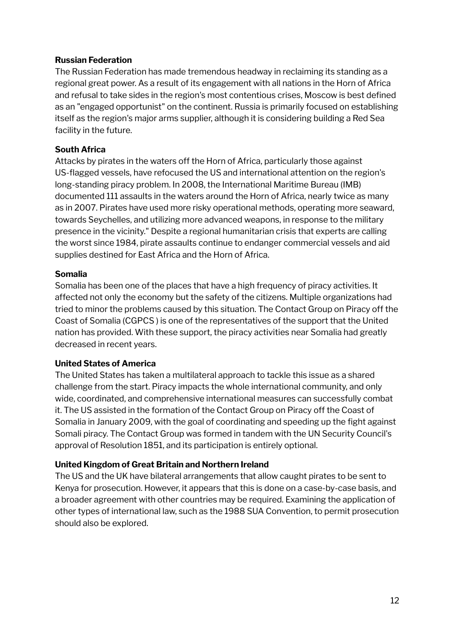#### **Russian Federation**

The Russian Federation has made tremendous headway in reclaiming its standing as a regional great power. As a result of its engagement with all nations in the Horn of Africa and refusal to take sides in the region's most contentious crises, Moscow is best defined as an "engaged opportunist" on the continent. Russia is primarily focused on establishing itself as the region's major arms supplier, although it is considering building a Red Sea facility in the future.

#### **South Africa**

Attacks by pirates in the waters off the Horn of Africa, particularly those against US-flagged vessels, have refocused the US and international attention on the region's long-standing piracy problem. In 2008, the International Maritime Bureau (IMB) documented 111 assaults in the waters around the Horn of Africa, nearly twice as many as in 2007. Pirates have used more risky operational methods, operating more seaward, towards Seychelles, and utilizing more advanced weapons, in response to the military presence in the vicinity." Despite a regional humanitarian crisis that experts are calling the worst since 1984, pirate assaults continue to endanger commercial vessels and aid supplies destined for East Africa and the Horn of Africa.

#### **Somalia**

Somalia has been one of the places that have a high frequency of piracy activities. It affected not only the economy but the safety of the citizens. Multiple organizations had tried to minor the problems caused by this situation. The Contact Group on Piracy off the Coast of Somalia (CGPCS ) is one of the representatives of the support that the United nation has provided. With these support, the piracy activities near Somalia had greatly decreased in recent years.

#### **United States of America**

The United States has taken a multilateral approach to tackle this issue as a shared challenge from the start. Piracy impacts the whole international community, and only wide, coordinated, and comprehensive international measures can successfully combat it. The US assisted in the formation of the Contact Group on Piracy off the Coast of Somalia in January 2009, with the goal of coordinating and speeding up the fight against Somali piracy. The Contact Group was formed in tandem with the UN Security Council's approval of Resolution 1851, and its participation is entirely optional.

#### **United Kingdom of Great Britain and Northern Ireland**

The US and the UK have bilateral arrangements that allow caught pirates to be sent to Kenya for prosecution. However, it appears that this is done on a case-by-case basis, and a broader agreement with other countries may be required. Examining the application of other types of international law, such as the 1988 SUA Convention, to permit prosecution should also be explored.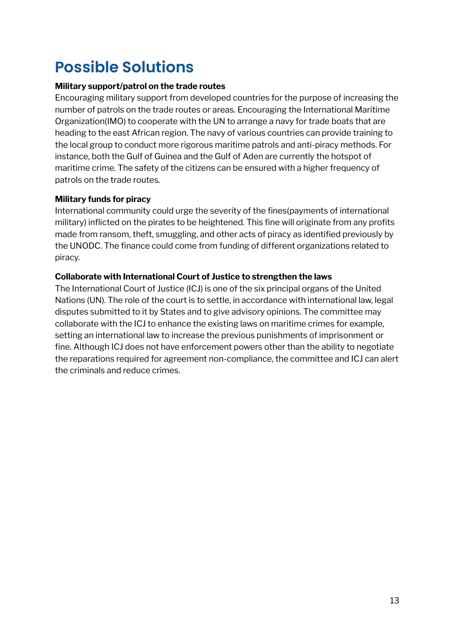### **Possible Solutions**

#### **Military support/patrol on the trade routes**

Encouraging military support from developed countries for the purpose of increasing the number of patrols on the trade routes or areas. Encouraging the International Maritime Organization(IMO) to cooperate with the UN to arrange a navy for trade boats that are heading to the east African region. The navy of various countries can provide training to the local group to conduct more rigorous maritime patrols and anti-piracy methods. For instance, both the Gulf of Guinea and the Gulf of Aden are currently the hotspot of maritime crime. The safety of the citizens can be ensured with a higher frequency of patrols on the trade routes.

#### **Military funds for piracy**

International community could urge the severity of the fines(payments of international military) inflicted on the pirates to be heightened. This fine will originate from any profits made from ransom, theft, smuggling, and other acts of piracy as identified previously by the UNODC. The finance could come from funding of different organizations related to piracy.

#### **Collaborate with International Court of Justice to strengthen the laws**

The International Court of Justice (ICJ) is one of the six principal organs of the United Nations (UN). The role of the court is to settle, in accordance with international law, legal disputes submitted to it by States and to give advisory opinions. The committee may collaborate with the ICJ to enhance the existing laws on maritime crimes for example, setting an international law to increase the previous punishments of imprisonment or fine. Although ICJ does not have enforcement powers other than the ability to negotiate the reparations required for agreement non-compliance, the committee and ICJ can alert the criminals and reduce crimes.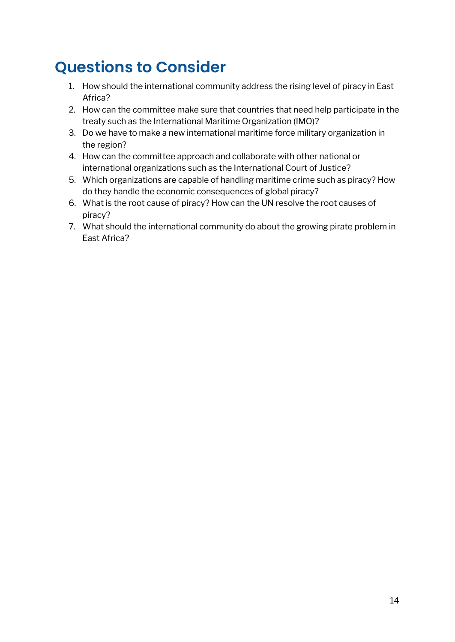### **Questions to Consider**

- 1. How should the international community address the rising level of piracy in East Africa?
- 2. How can the committee make sure that countries that need help participate in the treaty such as the International Maritime Organization (IMO)?
- 3. Do we have to make a new international maritime force military organization in the region?
- 4. How can the committee approach and collaborate with other national or international organizations such as the International Court of Justice?
- 5. Which organizations are capable of handling maritime crime such as piracy? How do they handle the economic consequences of global piracy?
- 6. What is the root cause of piracy? How can the UN resolve the root causes of piracy?
- 7. What should the international community do about the growing pirate problem in East Africa?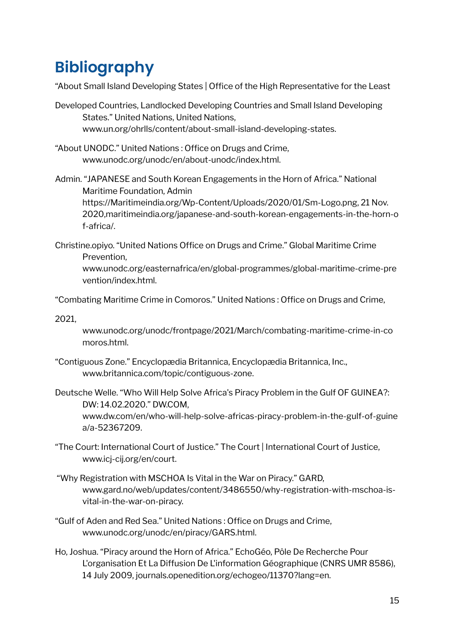# **Bibliography**

"About Small Island Developing States | Office of the High Representative for the Least

- Developed Countries, Landlocked Developing Countries and Small Island Developing States." United Nations, United Nations, www.un.org/ohrlls/content/about-small-island-developing-states.
- "About UNODC." United Nations : Office on Drugs and Crime, www.unodc.org/unodc/en/about-unodc/index.html.
- Admin. "JAPANESE and South Korean Engagements in the Horn of Africa." National Maritime Foundation, Admin https://Maritimeindia.org/Wp-Content/Uploads/2020/01/Sm-Logo.png, 21 Nov. 2020,maritimeindia.org/japanese-and-south-korean-engagements-in-the-horn-o f-africa/.
- Christine.opiyo. "United Nations Office on Drugs and Crime." Global Maritime Crime Prevention,

www.unodc.org/easternafrica/en/global-programmes/global-maritime-crime-pre vention/index.html.

"Combating Maritime Crime in Comoros." United Nations : Office on Drugs and Crime,

2021,

www.unodc.org/unodc/frontpage/2021/March/combating-maritime-crime-in-co moros.html.

- "Contiguous Zone." Encyclopædia Britannica, Encyclopædia Britannica, Inc., www.britannica.com/topic/contiguous-zone.
- Deutsche Welle. "Who Will Help Solve Africa's Piracy Problem in the Gulf OF GUINEA?: DW: 14.02.2020." DW.COM, www.dw.com/en/who-will-help-solve-africas-piracy-problem-in-the-gulf-of-guine a/a-52367209.
- "The Court: International Court of Justice." The Court | International Court of Justice, www.icj-cij.org/en/court.
- "Why Registration with MSCHOA Is Vital in the War on Piracy." GARD, www.gard.no/web/updates/content/3486550/why-registration-with-mschoa-isvital-in-the-war-on-piracy.
- "Gulf of Aden and Red Sea." United Nations : Office on Drugs and Crime, www.unodc.org/unodc/en/piracy/GARS.html.
- Ho, Joshua. "Piracy around the Horn of Africa." EchoGéo, Pôle De Recherche Pour L'organisation Et La Diffusion De L'information Géographique (CNRS UMR 8586), 14 July 2009, journals.openedition.org/echogeo/11370?lang=en.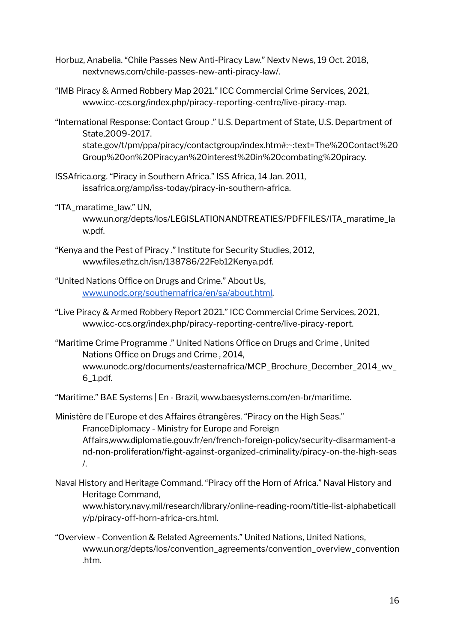- Horbuz, Anabelia. "Chile Passes New Anti-Piracy Law." Nextv News, 19 Oct. 2018, nextvnews.com/chile-passes-new-anti-piracy-law/.
- "IMB Piracy & Armed Robbery Map 2021." ICC Commercial Crime Services, 2021, www.icc-ccs.org/index.php/piracy-reporting-centre/live-piracy-map.
- "International Response: Contact Group ." U.S. Department of State, U.S. Department of State,2009-2017. state.gov/t/pm/ppa/piracy/contactgroup/index.htm#:~:text=The%20Contact%20 Group%20on%20Piracy,an%20interest%20in%20combating%20piracy.
- ISSAfrica.org. "Piracy in Southern Africa." ISS Africa, 14 Jan. 2011, issafrica.org/amp/iss-today/piracy-in-southern-africa.
- "ITA\_maratime\_law." UN, www.un.org/depts/los/LEGISLATIONANDTREATIES/PDFFILES/ITA\_maratime\_la w.pdf.
- "Kenya and the Pest of Piracy ." Institute for Security Studies, 2012, www.files.ethz.ch/isn/138786/22Feb12Kenya.pdf.
- "United Nations Office on Drugs and Crime." About Us, [www.unodc.org/southernafrica/en/sa/about.html.](http://www.unodc.org/southernafrica/en/sa/about.html)
- "Live Piracy & Armed Robbery Report 2021." ICC Commercial Crime Services, 2021, www.icc-ccs.org/index.php/piracy-reporting-centre/live-piracy-report.
- "Maritime Crime Programme ." United Nations Office on Drugs and Crime , United Nations Office on Drugs and Crime , 2014, www.unodc.org/documents/easternafrica/MCP\_Brochure\_December\_2014\_wv\_ 6\_1.pdf.
- "Maritime." BAE Systems | En Brazil, www.baesystems.com/en-br/maritime.

Ministère de l'Europe et des Affaires étrangères. "Piracy on the High Seas." FranceDiplomacy - Ministry for Europe and Foreign Affairs,www.diplomatie.gouv.fr/en/french-foreign-policy/security-disarmament-a nd-non-proliferation/fight-against-organized-criminality/piracy-on-the-high-seas /.

Naval History and Heritage Command. "Piracy off the Horn of Africa." Naval History and Heritage Command,

www.history.navy.mil/research/library/online-reading-room/title-list-alphabeticall y/p/piracy-off-horn-africa-crs.html.

"Overview - Convention & Related Agreements." United Nations, United Nations, www.un.org/depts/los/convention\_agreements/convention\_overview\_convention .htm.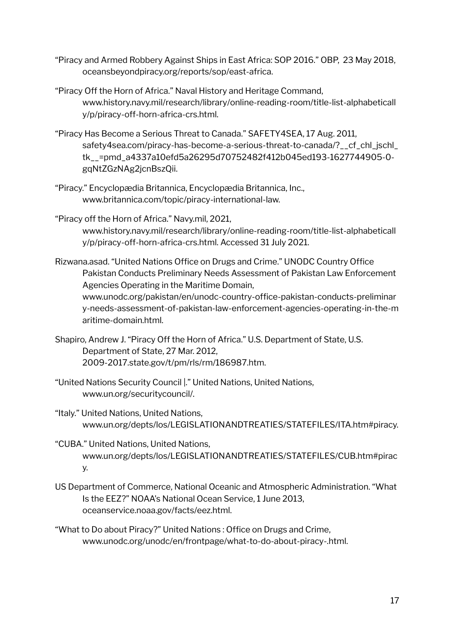- "Piracy and Armed Robbery Against Ships in East Africa: SOP 2016." OBP, 23 May 2018, oceansbeyondpiracy.org/reports/sop/east-africa.
- "Piracy Off the Horn of Africa." Naval History and Heritage Command, www.history.navy.mil/research/library/online-reading-room/title-list-alphabeticall y/p/piracy-off-horn-africa-crs.html.
- "Piracy Has Become a Serious Threat to Canada." SAFETY4SEA, 17 Aug. 2011, safety4sea.com/piracy-has-become-a-serious-threat-to-canada/?\_\_cf\_chl\_jschl\_ tk\_\_=pmd\_a4337a10efd5a26295d70752482f412b045ed193-1627744905-0 gqNtZGzNAg2jcnBszQii.
- "Piracy." Encyclopædia Britannica, Encyclopædia Britannica, Inc., www.britannica.com/topic/piracy-international-law.
- "Piracy off the Horn of Africa." Navy.mil, 2021, www.history.navy.mil/research/library/online-reading-room/title-list-alphabeticall y/p/piracy-off-horn-africa-crs.html. Accessed 31 July 2021.
- Rizwana.asad. "United Nations Office on Drugs and Crime." UNODC Country Office Pakistan Conducts Preliminary Needs Assessment of Pakistan Law Enforcement Agencies Operating in the Maritime Domain,

www.unodc.org/pakistan/en/unodc-country-office-pakistan-conducts-preliminar y-needs-assessment-of-pakistan-law-enforcement-agencies-operating-in-the-m aritime-domain.html.

- Shapiro, Andrew J. "Piracy Off the Horn of Africa." U.S. Department of State, U.S. Department of State, 27 Mar. 2012, 2009-2017.state.gov/t/pm/rls/rm/186987.htm.
- "United Nations Security Council |." United Nations, United Nations, www.un.org/securitycouncil/.
- "Italy." United Nations, United Nations, www.un.org/depts/los/LEGISLATIONANDTREATIES/STATEFILES/ITA.htm#piracy.
- "CUBA." United Nations, United Nations, www.un.org/depts/los/LEGISLATIONANDTREATIES/STATEFILES/CUB.htm#pirac y.
- US Department of Commerce, National Oceanic and Atmospheric Administration. "What Is the EEZ?" NOAA's National Ocean Service, 1 June 2013, oceanservice.noaa.gov/facts/eez.html.
- "What to Do about Piracy?" United Nations : Office on Drugs and Crime, www.unodc.org/unodc/en/frontpage/what-to-do-about-piracy-.html.